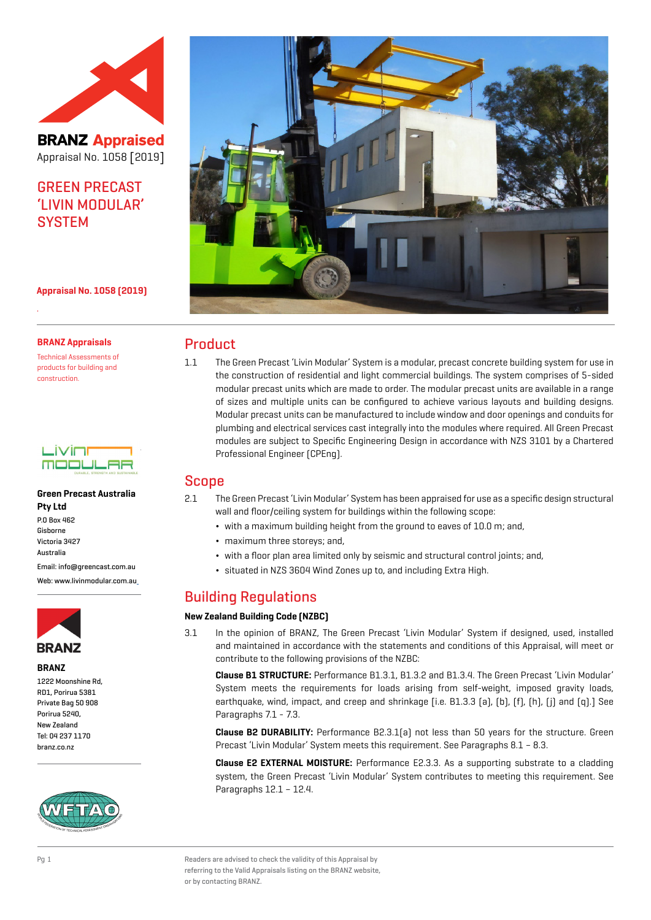

**BRANZ Appraised** Appraisal No. 1058 [2019]

## GREEN PRECAST 'LIVIN MODULAR' **SYSTEM**



**Appraisal No. 1058 (2019)**

#### **BRANZ Appraisals**

.

Technical Assessments of products for building and construction.

| - 11                                  |    |
|---------------------------------------|----|
| г<br><b>DURABLE, STRENGTH AND SUS</b> | LΕ |

#### **Green Precast Australia Pty Ltd**

P.O Box 462 Gisborne Victoria 3427 Australia

Email: info@greencast.com.au

Web: www.livinmodular.com.a[u](http:// www.livinmodular.com.au)



#### **BRANZ**

1222 Moonshine Rd, RD1, Porirua 5381 Private Bag 50 908 Porirua 5240, New Zealand Tel: 04 237 1170 branz.co.nz



### Product

1.1 The Green Precast 'Livin Modular' System is a modular, precast concrete building system for use in the construction of residential and light commercial buildings. The system comprises of 5-sided modular precast units which are made to order. The modular precast units are available in a range of sizes and multiple units can be configured to achieve various layouts and building designs. Modular precast units can be manufactured to include window and door openings and conduits for plumbing and electrical services cast integrally into the modules where required. All Green Precast modules are subject to Specific Engineering Design in accordance with NZS 3101 by a Chartered Professional Engineer (CPEng).

### Scope

2.1 The Green Precast 'Livin Modular' System has been appraised for use as a specific design structural wall and floor/ceiling system for buildings within the following scope:

- ¬ with a maximum building height from the ground to eaves of 10.0 m; and,
- ¬ maximum three storeys; and,
- ¬ with a floor plan area limited only by seismic and structural control joints; and,
- ¬ situated in NZS 3604 Wind Zones up to, and including Extra High.

### Building Regulations

#### **New Zealand Building Code (NZBC)**

3.1 In the opinion of BRANZ, The Green Precast 'Livin Modular' System if designed, used, installed and maintained in accordance with the statements and conditions of this Appraisal, will meet or contribute to the following provisions of the NZBC:

**Clause B1 STRUCTURE:** Performance B1.3.1, B1.3.2 and B1.3.4. The Green Precast 'Livin Modular' System meets the requirements for loads arising from self-weight, imposed gravity loads, earthquake, wind, impact, and creep and shrinkage [i.e. B1.3.3 (a), (b), (f), (h), (j) and (q).] See Paragraphs 7.1 - 7.3.

**Clause B2 DURABILITY:** Performance B2.3.1(a) not less than 50 years for the structure. Green Precast 'Livin Modular' System meets this requirement. See Paragraphs 8.1 – 8.3.

**Clause E2 EXTERNAL MOISTURE:** Performance E2.3.3. As a supporting substrate to a cladding system, the Green Precast 'Livin Modular' System contributes to meeting this requirement. See Paragraphs 12.1 – 12.4.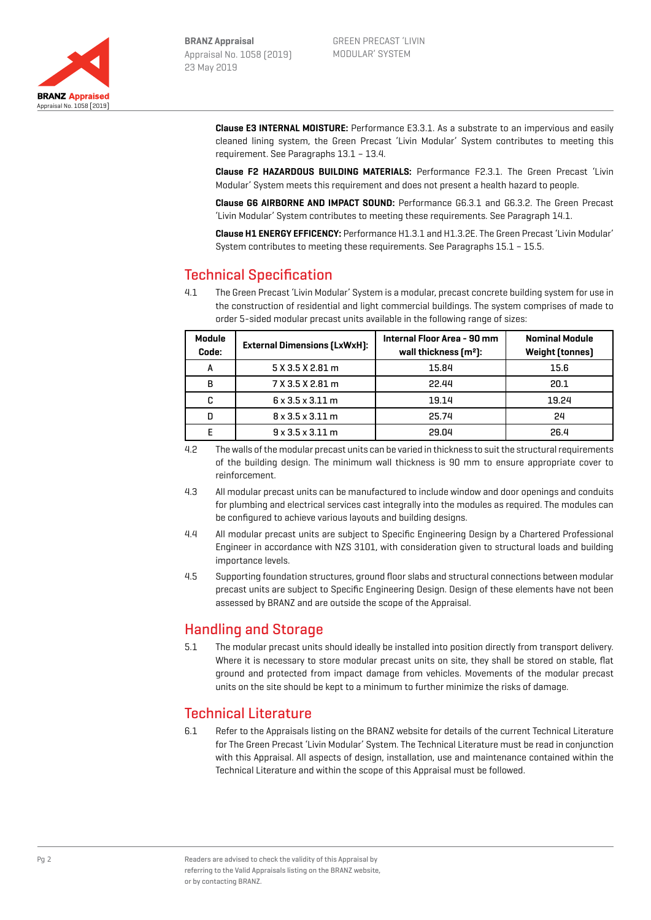

**Clause E3 INTERNAL MOISTURE:** Performance E3.3.1. As a substrate to an impervious and easily cleaned lining system, the Green Precast 'Livin Modular' System contributes to meeting this requirement. See Paragraphs 13.1 – 13.4.

**Clause F2 HAZARDOUS BUILDING MATERIALS:** Performance F2.3.1. The Green Precast 'Livin Modular' System meets this requirement and does not present a health hazard to people.

**Clause G6 AIRBORNE AND IMPACT SOUND:** Performance G6.3.1 and G6.3.2. The Green Precast 'Livin Modular' System contributes to meeting these requirements. See Paragraph 14.1.

**Clause H1 ENERGY EFFICENCY:** Performance H1.3.1 and H1.3.2E. The Green Precast 'Livin Modular' System contributes to meeting these requirements. See Paragraphs 15.1 – 15.5.

# Technical Specification

4.1 The Green Precast 'Livin Modular' System is a modular, precast concrete building system for use in the construction of residential and light commercial buildings. The system comprises of made to order 5-sided modular precast units available in the following range of sizes:

| Module<br>Code: | <b>External Dimensions (LxWxH):</b> | Internal Floor Area - 90 mm<br>wall thickness $\lceil m^2 \rceil$ : | <b>Nominal Module</b><br><b>Weight (tonnes)</b> |
|-----------------|-------------------------------------|---------------------------------------------------------------------|-------------------------------------------------|
| А               | 5 X 3.5 X 2.81 m                    | 15.84                                                               | 15.6                                            |
| B               | 7 X 3.5 X 2.81 m                    | 22.44                                                               | 20.1                                            |
| C               | $6 \times 3.5 \times 3.11$ m        | 19.14                                                               | 19.24                                           |
| D               | $8 \times 3.5 \times 3.11$ m        | 25.74                                                               | 24                                              |
|                 | $9 \times 3.5 \times 3.11$ m        | 29.04                                                               | 26.4                                            |

- 4.2 The walls of the modular precast units can be varied in thickness to suit the structural requirements of the building design. The minimum wall thickness is 90 mm to ensure appropriate cover to reinforcement.
- 4.3 All modular precast units can be manufactured to include window and door openings and conduits for plumbing and electrical services cast integrally into the modules as required. The modules can be configured to achieve various layouts and building designs.
- 4.4 All modular precast units are subject to Specific Engineering Design by a Chartered Professional Engineer in accordance with NZS 3101, with consideration given to structural loads and building importance levels.
- 4.5 Supporting foundation structures, ground floor slabs and structural connections between modular precast units are subject to Specific Engineering Design. Design of these elements have not been assessed by BRANZ and are outside the scope of the Appraisal.

### Handling and Storage

5.1 The modular precast units should ideally be installed into position directly from transport delivery. Where it is necessary to store modular precast units on site, they shall be stored on stable, flat ground and protected from impact damage from vehicles. Movements of the modular precast units on the site should be kept to a minimum to further minimize the risks of damage.

### Technical Literature

6.1 Refer to the Appraisals listing on the BRANZ website for details of the current Technical Literature for The Green Precast 'Livin Modular' System. The Technical Literature must be read in conjunction with this Appraisal. All aspects of design, installation, use and maintenance contained within the Technical Literature and within the scope of this Appraisal must be followed.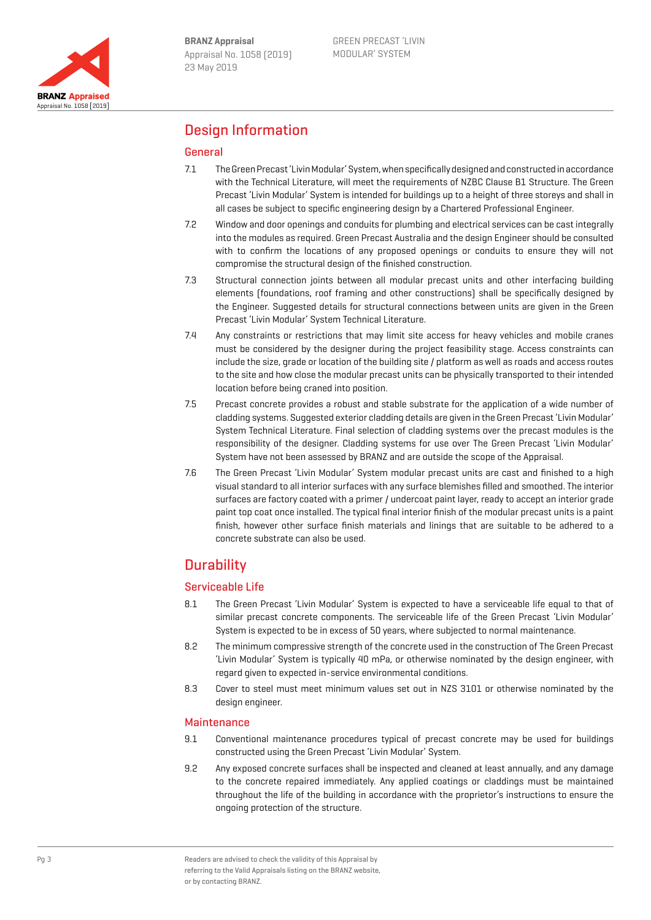

### Design Information

#### General

- 7.1 The Green Precast 'Livin Modular' System, when specifically designed and constructed in accordance with the Technical Literature, will meet the requirements of NZBC Clause B1 Structure. The Green Precast 'Livin Modular' System is intended for buildings up to a height of three storeys and shall in all cases be subject to specific engineering design by a Chartered Professional Engineer.
- 7.2 Window and door openings and conduits for plumbing and electrical services can be cast integrally into the modules as required. Green Precast Australia and the design Engineer should be consulted with to confirm the locations of any proposed openings or conduits to ensure they will not compromise the structural design of the finished construction.
- 7.3 Structural connection joints between all modular precast units and other interfacing building elements (foundations, roof framing and other constructions) shall be specifically designed by the Engineer. Suggested details for structural connections between units are given in the Green Precast 'Livin Modular' System Technical Literature.
- 7.4 Any constraints or restrictions that may limit site access for heavy vehicles and mobile cranes must be considered by the designer during the project feasibility stage. Access constraints can include the size, grade or location of the building site / platform as well as roads and access routes to the site and how close the modular precast units can be physically transported to their intended location before being craned into position.
- 7.5 Precast concrete provides a robust and stable substrate for the application of a wide number of cladding systems. Suggested exterior cladding details are given in the Green Precast 'Livin Modular' System Technical Literature. Final selection of cladding systems over the precast modules is the responsibility of the designer. Cladding systems for use over The Green Precast 'Livin Modular' System have not been assessed by BRANZ and are outside the scope of the Appraisal.
- 7.6 The Green Precast 'Livin Modular' System modular precast units are cast and finished to a high visual standard to all interior surfaces with any surface blemishes filled and smoothed. The interior surfaces are factory coated with a primer / undercoat paint layer, ready to accept an interior grade paint top coat once installed. The typical final interior finish of the modular precast units is a paint finish, however other surface finish materials and linings that are suitable to be adhered to a concrete substrate can also be used.

# **Durability**

#### Serviceable Life

- 8.1 The Green Precast 'Livin Modular' System is expected to have a serviceable life equal to that of similar precast concrete components. The serviceable life of the Green Precast 'Livin Modular' System is expected to be in excess of 50 years, where subjected to normal maintenance.
- 8.2 The minimum compressive strength of the concrete used in the construction of The Green Precast 'Livin Modular' System is typically 40 mPa, or otherwise nominated by the design engineer, with regard given to expected in-service environmental conditions.
- 8.3 Cover to steel must meet minimum values set out in NZS 3101 or otherwise nominated by the design engineer.

#### **Maintenance**

- 9.1 Conventional maintenance procedures typical of precast concrete may be used for buildings constructed using the Green Precast 'Livin Modular' System.
- 9.2 Any exposed concrete surfaces shall be inspected and cleaned at least annually, and any damage to the concrete repaired immediately. Any applied coatings or claddings must be maintained throughout the life of the building in accordance with the proprietor's instructions to ensure the ongoing protection of the structure.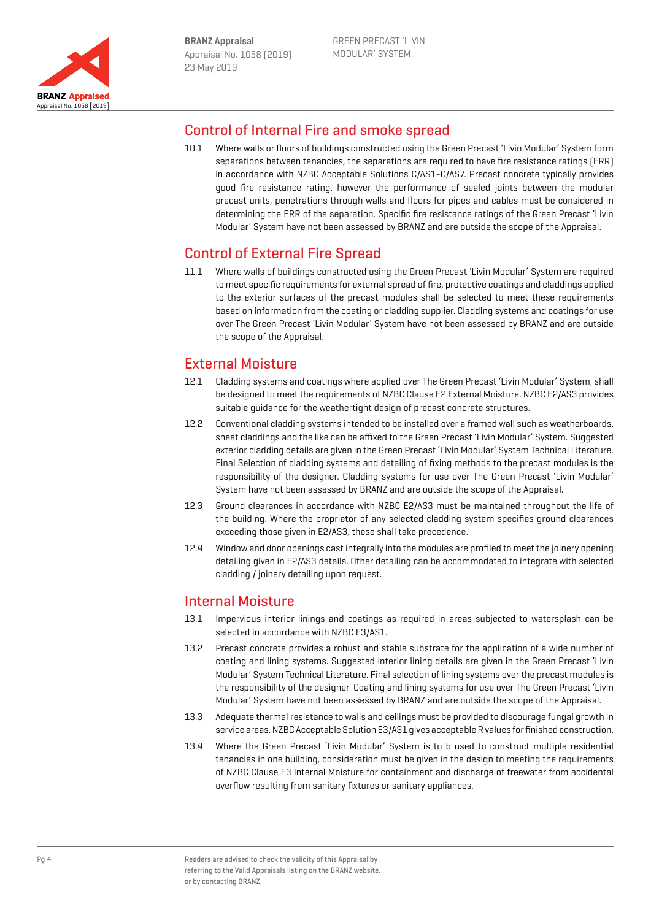

### Control of Internal Fire and smoke spread

10.1 Where walls or floors of buildings constructed using the Green Precast 'Livin Modular' System form separations between tenancies, the separations are required to have fire resistance ratings (FRR) in accordance with NZBC Acceptable Solutions C/AS1-C/AS7. Precast concrete typically provides good fire resistance rating, however the performance of sealed joints between the modular precast units, penetrations through walls and floors for pipes and cables must be considered in determining the FRR of the separation. Specific fire resistance ratings of the Green Precast 'Livin Modular' System have not been assessed by BRANZ and are outside the scope of the Appraisal.

## Control of External Fire Spread

11.1 Where walls of buildings constructed using the Green Precast 'Livin Modular' System are required to meet specific requirements for external spread of fire, protective coatings and claddings applied to the exterior surfaces of the precast modules shall be selected to meet these requirements based on information from the coating or cladding supplier. Cladding systems and coatings for use over The Green Precast 'Livin Modular' System have not been assessed by BRANZ and are outside the scope of the Appraisal.

## External Moisture

- 12.1 Cladding systems and coatings where applied over The Green Precast 'Livin Modular' System, shall be designed to meet the requirements of NZBC Clause E2 External Moisture. NZBC E2/AS3 provides suitable guidance for the weathertight design of precast concrete structures.
- 12.2 Conventional cladding systems intended to be installed over a framed wall such as weatherboards, sheet claddings and the like can be affixed to the Green Precast 'Livin Modular' System. Suggested exterior cladding details are given in the Green Precast 'Livin Modular' System Technical Literature. Final Selection of cladding systems and detailing of fixing methods to the precast modules is the responsibility of the designer. Cladding systems for use over The Green Precast 'Livin Modular' System have not been assessed by BRANZ and are outside the scope of the Appraisal.
- 12.3 Ground clearances in accordance with NZBC E2/AS3 must be maintained throughout the life of the building. Where the proprietor of any selected cladding system specifies ground clearances exceeding those given in E2/AS3, these shall take precedence.
- 12.4 Window and door openings cast integrally into the modules are profiled to meet the joinery opening detailing given in E2/AS3 details. Other detailing can be accommodated to integrate with selected cladding / joinery detailing upon request.

### Internal Moisture

- 13.1 Impervious interior linings and coatings as required in areas subjected to watersplash can be selected in accordance with NZBC E3/AS1.
- 13.2 Precast concrete provides a robust and stable substrate for the application of a wide number of coating and lining systems. Suggested interior lining details are given in the Green Precast 'Livin Modular' System Technical Literature. Final selection of lining systems over the precast modules is the responsibility of the designer. Coating and lining systems for use over The Green Precast 'Livin Modular' System have not been assessed by BRANZ and are outside the scope of the Appraisal.
- 13.3 Adequate thermal resistance to walls and ceilings must be provided to discourage fungal growth in service areas. NZBC Acceptable Solution E3/AS1 gives acceptable R values for finished construction.
- 13.4 Where the Green Precast 'Livin Modular' System is to b used to construct multiple residential tenancies in one building, consideration must be given in the design to meeting the requirements of NZBC Clause E3 Internal Moisture for containment and discharge of freewater from accidental overflow resulting from sanitary fixtures or sanitary appliances.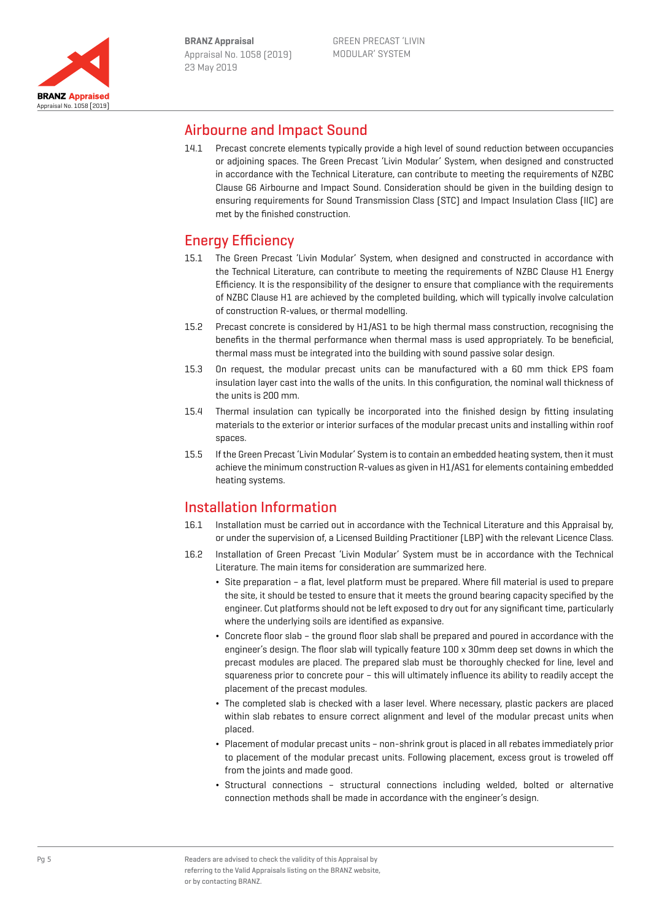

### Airbourne and Impact Sound

14.1 Precast concrete elements typically provide a high level of sound reduction between occupancies or adjoining spaces. The Green Precast 'Livin Modular' System, when designed and constructed in accordance with the Technical Literature, can contribute to meeting the requirements of NZBC Clause G6 Airbourne and Impact Sound. Consideration should be given in the building design to ensuring requirements for Sound Transmission Class (STC) and Impact Insulation Class (IIC) are met by the finished construction.

# Energy Efficiency

- 15.1 The Green Precast 'Livin Modular' System, when designed and constructed in accordance with the Technical Literature, can contribute to meeting the requirements of NZBC Clause H1 Energy Efficiency. It is the responsibility of the designer to ensure that compliance with the requirements of NZBC Clause H1 are achieved by the completed building, which will typically involve calculation of construction R-values, or thermal modelling.
- 15.2 Precast concrete is considered by H1/AS1 to be high thermal mass construction, recognising the benefits in the thermal performance when thermal mass is used appropriately. To be beneficial, thermal mass must be integrated into the building with sound passive solar design.
- 15.3 On request, the modular precast units can be manufactured with a 60 mm thick EPS foam insulation layer cast into the walls of the units. In this configuration, the nominal wall thickness of the units is 200 mm.
- 15.4 Thermal insulation can typically be incorporated into the finished design by fitting insulating materials to the exterior or interior surfaces of the modular precast units and installing within roof spaces.
- 15.5 If the Green Precast 'Livin Modular' System is to contain an embedded heating system, then it must achieve the minimum construction R-values as given in H1/AS1 for elements containing embedded heating systems.

# Installation Information

- 16.1 Installation must be carried out in accordance with the Technical Literature and this Appraisal by, or under the supervision of, a Licensed Building Practitioner (LBP) with the relevant Licence Class.
- 16.2 Installation of Green Precast 'Livin Modular' System must be in accordance with the Technical Literature. The main items for consideration are summarized here.
	- ¬ Site preparation a flat, level platform must be prepared. Where fill material is used to prepare the site, it should be tested to ensure that it meets the ground bearing capacity specified by the engineer. Cut platforms should not be left exposed to dry out for any significant time, particularly where the underlying soils are identified as expansive.
	- ¬ Concrete floor slab the ground floor slab shall be prepared and poured in accordance with the engineer's design. The floor slab will typically feature 100 x 30mm deep set downs in which the precast modules are placed. The prepared slab must be thoroughly checked for line, level and squareness prior to concrete pour – this will ultimately influence its ability to readily accept the placement of the precast modules.
	- ¬ The completed slab is checked with a laser level. Where necessary, plastic packers are placed within slab rebates to ensure correct alignment and level of the modular precast units when placed.
	- ¬ Placement of modular precast units non-shrink grout is placed in all rebates immediately prior to placement of the modular precast units. Following placement, excess grout is troweled off from the joints and made good.
	- ¬ Structural connections structural connections including welded, bolted or alternative connection methods shall be made in accordance with the engineer's design.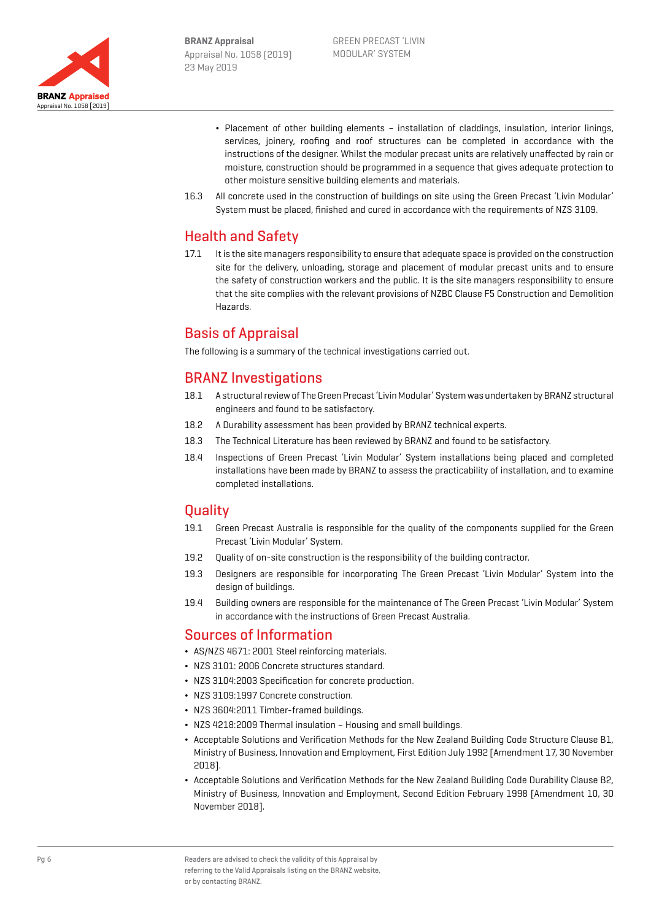

- ¬ Placement of other building elements installation of claddings, insulation, interior linings, services, joinery, roofing and roof structures can be completed in accordance with the instructions of the designer. Whilst the modular precast units are relatively unaffected by rain or moisture, construction should be programmed in a sequence that gives adequate protection to other moisture sensitive building elements and materials.
- 16.3 All concrete used in the construction of buildings on site using the Green Precast 'Livin Modular' System must be placed, finished and cured in accordance with the requirements of NZS 3109.

## Health and Safety

17.1 It is the site managers responsibility to ensure that adequate space is provided on the construction site for the delivery, unloading, storage and placement of modular precast units and to ensure the safety of construction workers and the public. It is the site managers responsibility to ensure that the site complies with the relevant provisions of NZBC Clause F5 Construction and Demolition Hazards.

## Basis of Appraisal

The following is a summary of the technical investigations carried out.

### BRANZ Investigations

- 18.1 A structural review of The Green Precast 'Livin Modular' System was undertaken by BRANZ structural engineers and found to be satisfactory.
- 18.2 A Durability assessment has been provided by BRANZ technical experts.
- 18.3 The Technical Literature has been reviewed by BRANZ and found to be satisfactory.
- 18.4 Inspections of Green Precast 'Livin Modular' System installations being placed and completed installations have been made by BRANZ to assess the practicability of installation, and to examine completed installations.

### **Quality**

- 19.1 Green Precast Australia is responsible for the quality of the components supplied for the Green Precast 'Livin Modular' System.
- 19.2 Quality of on-site construction is the responsibility of the building contractor.
- 19.3 Designers are responsible for incorporating The Green Precast 'Livin Modular' System into the design of buildings.
- 19.4 Building owners are responsible for the maintenance of The Green Precast 'Livin Modular' System in accordance with the instructions of Green Precast Australia.

### Sources of Information

- ¬ AS/NZS 4671: 2001 Steel reinforcing materials.
- ¬ NZS 3101: 2006 Concrete structures standard.
- ¬ NZS 3104:2003 Specification for concrete production.
- ¬ NZS 3109:1997 Concrete construction.
- ¬ NZS 3604:2011 Timber-framed buildings.
- ¬ NZS 4218:2009 Thermal insulation Housing and small buildings.
- ¬ Acceptable Solutions and Verification Methods for the New Zealand Building Code Structure Clause B1, Ministry of Business, Innovation and Employment, First Edition July 1992 [Amendment 17, 30 November 2018].
- ¬ Acceptable Solutions and Verification Methods for the New Zealand Building Code Durability Clause B2, Ministry of Business, Innovation and Employment, Second Edition February 1998 [Amendment 10, 30 November 2018].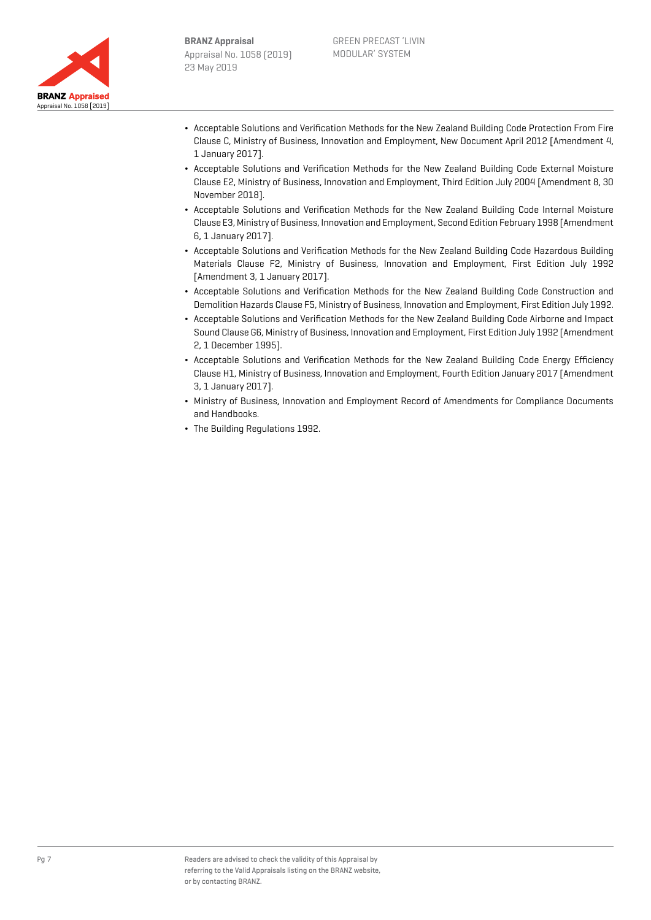



- ¬ Acceptable Solutions and Verification Methods for the New Zealand Building Code Protection From Fire Clause C, Ministry of Business, Innovation and Employment, New Document April 2012 [Amendment 4, 1 January 2017].
- ¬ Acceptable Solutions and Verification Methods for the New Zealand Building Code External Moisture Clause E2, Ministry of Business, Innovation and Employment, Third Edition July 2004 [Amendment 8, 30 November 2018].
- ¬ Acceptable Solutions and Verification Methods for the New Zealand Building Code Internal Moisture Clause E3, Ministry of Business, Innovation and Employment, Second Edition February 1998 [Amendment 6, 1 January 2017].
- ¬ Acceptable Solutions and Verification Methods for the New Zealand Building Code Hazardous Building Materials Clause F2, Ministry of Business, Innovation and Employment, First Edition July 1992 [Amendment 3, 1 January 2017].
- ¬ Acceptable Solutions and Verification Methods for the New Zealand Building Code Construction and Demolition Hazards Clause F5, Ministry of Business, Innovation and Employment, First Edition July 1992.
- ¬ Acceptable Solutions and Verification Methods for the New Zealand Building Code Airborne and Impact Sound Clause G6, Ministry of Business, Innovation and Employment, First Edition July 1992 [Amendment 2, 1 December 1995].
- ¬ Acceptable Solutions and Verification Methods for the New Zealand Building Code Energy Efficiency Clause H1, Ministry of Business, Innovation and Employment, Fourth Edition January 2017 [Amendment 3, 1 January 2017].
- ¬ Ministry of Business, Innovation and Employment Record of Amendments for Compliance Documents and Handbooks.
- ¬ The Building Regulations 1992.